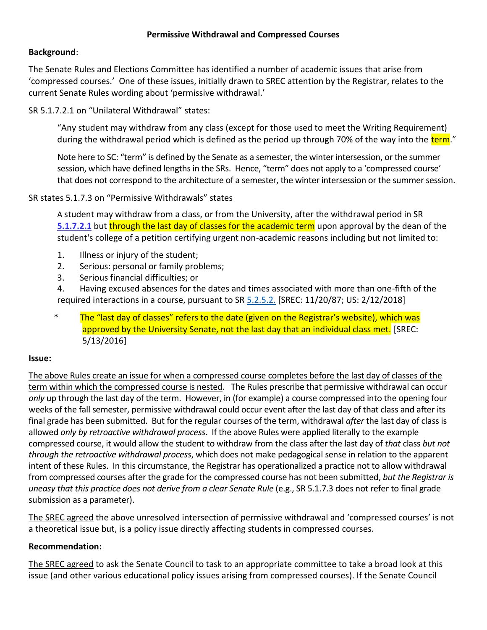## **Permissive Withdrawal and Compressed Courses**

## **Background**:

The Senate Rules and Elections Committee has identified a number of academic issues that arise from 'compressed courses.' One of these issues, initially drawn to SREC attention by the Registrar, relates to the current Senate Rules wording about 'permissive withdrawal.'

SR 5.1.7.2.1 on "Unilateral Withdrawal" states:

"Any student may withdraw from any class (except for those used to meet the Writing Requirement) during the withdrawal period which is defined as the period up through 70% of the way into the term."

Note here to SC: "term" is defined by the Senate as a semester, the winter intersession, or the summer session, which have defined lengths in the SRs. Hence, "term" does not apply to a 'compressed course' that does not correspond to the architecture of a semester, the winter intersession or the summer session.

SR states 5.1.7.3 on "Permissive Withdrawals" states

A student may withdraw from a class, or from the University, after the withdrawal period in SR **[5.1.7.2.1](https://outlook.office.com/mail/deeplink?popoutv2=1&version=20210426004.13#x__Time_Period)** but through the last day of classes for the academic term upon approval by the dean of the student's college of a petition certifying urgent non-academic reasons including but not limited to:

- 1. Illness or injury of the student;
- 2. Serious: personal or family problems;
- 3. Serious financial difficulties; or

4. Having excused absences for the dates and times associated with more than one-fifth of the required interactions in a course, pursuant to SR [5.2.5.2.](https://outlook.office.com/mail/deeplink?popoutv2=1&version=20210426004.13#x_x__Excused_absences) [SREC: 11/20/87; US: 2/12/2018]

\* The "last day of classes" refers to the date (given on the Registrar's website), which was approved by the University Senate, not the last day that an individual class met. [SREC: 5/13/2016]

## **Issue:**

The above Rules create an issue for when a compressed course completes before the last day of classes of the term within which the compressed course is nested. The Rules prescribe that permissive withdrawal can occur *only* up through the last day of the term. However, in (for example) a course compressed into the opening four weeks of the fall semester, permissive withdrawal could occur event after the last day of that class and after its final grade has been submitted. But for the regular courses of the term, withdrawal *after* the last day of class is allowed *only by retroactive withdrawal process*. If the above Rules were applied literally to the example compressed course, it would allow the student to withdraw from the class after the last day of *that* class *but not through the retroactive withdrawal process*, which does not make pedagogical sense in relation to the apparent intent of these Rules. In this circumstance, the Registrar has operationalized a practice not to allow withdrawal from compressed courses after the grade for the compressed course has not been submitted, *but the Registrar is uneasy that this practice does not derive from a clear Senate Rule* (e.g., SR 5.1.7.3 does not refer to final grade submission as a parameter).

The SREC agreed the above unresolved intersection of permissive withdrawal and 'compressed courses' is not a theoretical issue but, is a policy issue directly affecting students in compressed courses.

## **Recommendation:**

The SREC agreed to ask the Senate Council to task to an appropriate committee to take a broad look at this issue (and other various educational policy issues arising from compressed courses). If the Senate Council